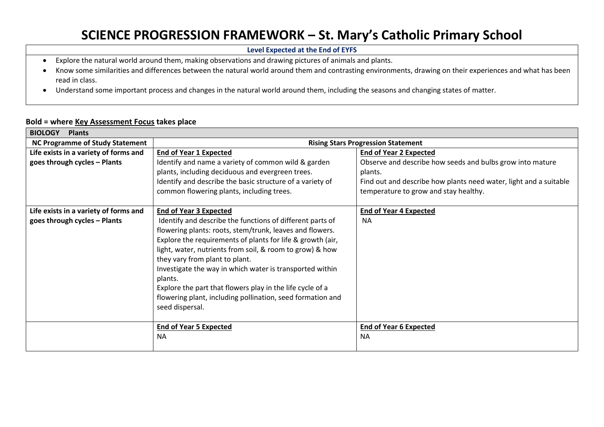## **SCIENCE PROGRESSION FRAMEWORK – St. Mary's Catholic Primary School**

**Level Expected at the End of EYFS**

- Explore the natural world around them, making observations and drawing pictures of animals and plants.
- Know some similarities and differences between the natural world around them and contrasting environments, drawing on their experiences and what has been read in class.
- Understand some important process and changes in the natural world around them, including the seasons and changing states of matter.

## **Bold = where Key Assessment Focus takes place**

| <b>BIOLOGY</b><br><b>Plants</b>        |                                                            |                                                                   |
|----------------------------------------|------------------------------------------------------------|-------------------------------------------------------------------|
| <b>NC Programme of Study Statement</b> | <b>Rising Stars Progression Statement</b>                  |                                                                   |
| Life exists in a variety of forms and  | <b>End of Year 1 Expected</b>                              | <b>End of Year 2 Expected</b>                                     |
| goes through cycles - Plants           | Identify and name a variety of common wild & garden        | Observe and describe how seeds and bulbs grow into mature         |
|                                        | plants, including deciduous and evergreen trees.           | plants.                                                           |
|                                        | Identify and describe the basic structure of a variety of  | Find out and describe how plants need water, light and a suitable |
|                                        | common flowering plants, including trees.                  | temperature to grow and stay healthy.                             |
|                                        |                                                            |                                                                   |
| Life exists in a variety of forms and  | <b>End of Year 3 Expected</b>                              | <b>End of Year 4 Expected</b>                                     |
| goes through cycles - Plants           | Identify and describe the functions of different parts of  | <b>NA</b>                                                         |
|                                        | flowering plants: roots, stem/trunk, leaves and flowers.   |                                                                   |
|                                        | Explore the requirements of plants for life & growth (air, |                                                                   |
|                                        | light, water, nutrients from soil, & room to grow) & how   |                                                                   |
|                                        | they vary from plant to plant.                             |                                                                   |
|                                        | Investigate the way in which water is transported within   |                                                                   |
|                                        | plants.                                                    |                                                                   |
|                                        | Explore the part that flowers play in the life cycle of a  |                                                                   |
|                                        | flowering plant, including pollination, seed formation and |                                                                   |
|                                        | seed dispersal.                                            |                                                                   |
|                                        |                                                            |                                                                   |
|                                        | <b>End of Year 5 Expected</b>                              | <b>End of Year 6 Expected</b>                                     |
|                                        | <b>NA</b>                                                  | <b>NA</b>                                                         |
|                                        |                                                            |                                                                   |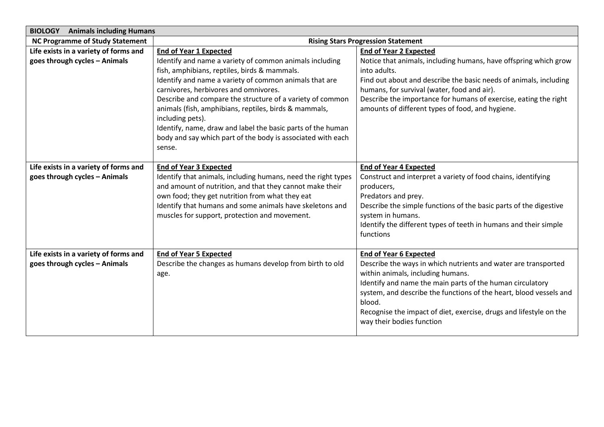| <b>BIOLOGY</b> Animals including Humans                                |                                                                                                                                                                                                                                                                                                                                                                                                                                                                                              |                                                                                                                                                                                                                                                                                                                                                                                      |
|------------------------------------------------------------------------|----------------------------------------------------------------------------------------------------------------------------------------------------------------------------------------------------------------------------------------------------------------------------------------------------------------------------------------------------------------------------------------------------------------------------------------------------------------------------------------------|--------------------------------------------------------------------------------------------------------------------------------------------------------------------------------------------------------------------------------------------------------------------------------------------------------------------------------------------------------------------------------------|
| <b>NC Programme of Study Statement</b>                                 | <b>Rising Stars Progression Statement</b>                                                                                                                                                                                                                                                                                                                                                                                                                                                    |                                                                                                                                                                                                                                                                                                                                                                                      |
| Life exists in a variety of forms and                                  | <b>End of Year 1 Expected</b>                                                                                                                                                                                                                                                                                                                                                                                                                                                                | <b>End of Year 2 Expected</b>                                                                                                                                                                                                                                                                                                                                                        |
| goes through cycles - Animals                                          | Identify and name a variety of common animals including<br>fish, amphibians, reptiles, birds & mammals.<br>Identify and name a variety of common animals that are<br>carnivores, herbivores and omnivores.<br>Describe and compare the structure of a variety of common<br>animals (fish, amphibians, reptiles, birds & mammals,<br>including pets).<br>Identify, name, draw and label the basic parts of the human<br>body and say which part of the body is associated with each<br>sense. | Notice that animals, including humans, have offspring which grow<br>into adults.<br>Find out about and describe the basic needs of animals, including<br>humans, for survival (water, food and air).<br>Describe the importance for humans of exercise, eating the right<br>amounts of different types of food, and hygiene.                                                         |
| Life exists in a variety of forms and<br>goes through cycles - Animals | <b>End of Year 3 Expected</b><br>Identify that animals, including humans, need the right types<br>and amount of nutrition, and that they cannot make their<br>own food; they get nutrition from what they eat<br>Identify that humans and some animals have skeletons and<br>muscles for support, protection and movement.                                                                                                                                                                   | <b>End of Year 4 Expected</b><br>Construct and interpret a variety of food chains, identifying<br>producers,<br>Predators and prey.<br>Describe the simple functions of the basic parts of the digestive<br>system in humans.<br>Identify the different types of teeth in humans and their simple<br>functions                                                                       |
| Life exists in a variety of forms and<br>goes through cycles - Animals | <b>End of Year 5 Expected</b><br>Describe the changes as humans develop from birth to old<br>age.                                                                                                                                                                                                                                                                                                                                                                                            | <b>End of Year 6 Expected</b><br>Describe the ways in which nutrients and water are transported<br>within animals, including humans.<br>Identify and name the main parts of the human circulatory<br>system, and describe the functions of the heart, blood vessels and<br>blood.<br>Recognise the impact of diet, exercise, drugs and lifestyle on the<br>way their bodies function |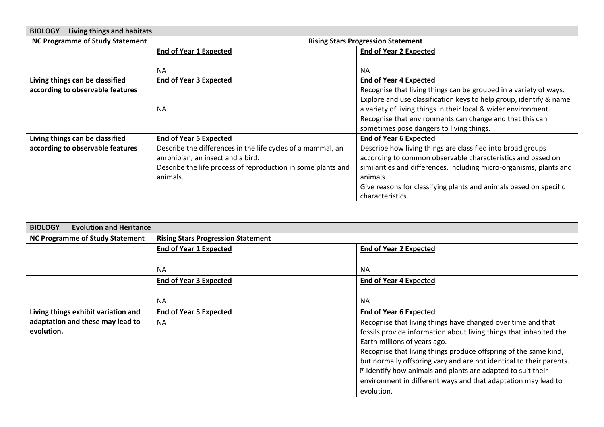| Living things and habitats<br><b>BIOLOGY</b> |                                                              |                                                                     |
|----------------------------------------------|--------------------------------------------------------------|---------------------------------------------------------------------|
| <b>NC Programme of Study Statement</b>       | <b>Rising Stars Progression Statement</b>                    |                                                                     |
|                                              | <b>End of Year 1 Expected</b>                                | <b>End of Year 2 Expected</b>                                       |
|                                              |                                                              |                                                                     |
|                                              | <b>NA</b>                                                    | <b>NA</b>                                                           |
| Living things can be classified              | <b>End of Year 3 Expected</b>                                | <b>End of Year 4 Expected</b>                                       |
| according to observable features             |                                                              | Recognise that living things can be grouped in a variety of ways.   |
|                                              |                                                              | Explore and use classification keys to help group, identify & name  |
|                                              | <b>NA</b>                                                    | a variety of living things in their local & wider environment.      |
|                                              |                                                              | Recognise that environments can change and that this can            |
|                                              |                                                              | sometimes pose dangers to living things.                            |
| Living things can be classified              | <b>End of Year 5 Expected</b>                                | <b>End of Year 6 Expected</b>                                       |
| according to observable features             | Describe the differences in the life cycles of a mammal, an  | Describe how living things are classified into broad groups         |
|                                              | amphibian, an insect and a bird.                             | according to common observable characteristics and based on         |
|                                              | Describe the life process of reproduction in some plants and | similarities and differences, including micro-organisms, plants and |
|                                              | animals.                                                     | animals.                                                            |
|                                              |                                                              | Give reasons for classifying plants and animals based on specific   |
|                                              |                                                              | characteristics.                                                    |

| <b>BIOLOGY</b><br><b>Evolution and Heritance</b> |                                           |                                                                     |
|--------------------------------------------------|-------------------------------------------|---------------------------------------------------------------------|
| <b>NC Programme of Study Statement</b>           | <b>Rising Stars Progression Statement</b> |                                                                     |
|                                                  | <b>End of Year 1 Expected</b>             | <b>End of Year 2 Expected</b>                                       |
|                                                  |                                           |                                                                     |
|                                                  | <b>NA</b>                                 | <b>NA</b>                                                           |
|                                                  | <b>End of Year 3 Expected</b>             | <b>End of Year 4 Expected</b>                                       |
|                                                  |                                           |                                                                     |
|                                                  | <b>NA</b>                                 | <b>NA</b>                                                           |
| Living things exhibit variation and              | <b>End of Year 5 Expected</b>             | <b>End of Year 6 Expected</b>                                       |
| adaptation and these may lead to                 | <b>NA</b>                                 | Recognise that living things have changed over time and that        |
| evolution.                                       |                                           | fossils provide information about living things that inhabited the  |
|                                                  |                                           | Earth millions of years ago.                                        |
|                                                  |                                           | Recognise that living things produce offspring of the same kind,    |
|                                                  |                                           | but normally offspring vary and are not identical to their parents. |
|                                                  |                                           | I Identify how animals and plants are adapted to suit their         |
|                                                  |                                           | environment in different ways and that adaptation may lead to       |
|                                                  |                                           | evolution.                                                          |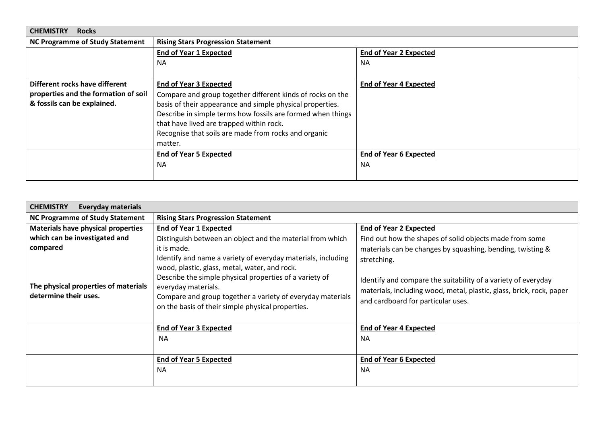| <b>CHEMISTRY</b><br><b>Rocks</b>       |                                                             |                               |
|----------------------------------------|-------------------------------------------------------------|-------------------------------|
| <b>NC Programme of Study Statement</b> | <b>Rising Stars Progression Statement</b>                   |                               |
|                                        | <b>End of Year 1 Expected</b>                               | <b>End of Year 2 Expected</b> |
|                                        | <b>NA</b>                                                   | <b>NA</b>                     |
|                                        |                                                             |                               |
| Different rocks have different         | <b>End of Year 3 Expected</b>                               | <b>End of Year 4 Expected</b> |
| properties and the formation of soil   | Compare and group together different kinds of rocks on the  |                               |
| & fossils can be explained.            | basis of their appearance and simple physical properties.   |                               |
|                                        | Describe in simple terms how fossils are formed when things |                               |
|                                        | that have lived are trapped within rock.                    |                               |
|                                        | Recognise that soils are made from rocks and organic        |                               |
|                                        | matter.                                                     |                               |
|                                        | <b>End of Year 5 Expected</b>                               | End of Year 6 Expected        |
|                                        | <b>NA</b>                                                   | <b>NA</b>                     |
|                                        |                                                             |                               |

| <b>CHEMISTRY</b><br><b>Everyday materials</b>                 |                                                                                                                                                                                                                                                                                                                    |                                                                                                                                                                                            |
|---------------------------------------------------------------|--------------------------------------------------------------------------------------------------------------------------------------------------------------------------------------------------------------------------------------------------------------------------------------------------------------------|--------------------------------------------------------------------------------------------------------------------------------------------------------------------------------------------|
| <b>NC Programme of Study Statement</b>                        | <b>Rising Stars Progression Statement</b>                                                                                                                                                                                                                                                                          |                                                                                                                                                                                            |
| <b>Materials have physical properties</b>                     | <b>End of Year 1 Expected</b>                                                                                                                                                                                                                                                                                      | <b>End of Year 2 Expected</b>                                                                                                                                                              |
| which can be investigated and                                 | Distinguish between an object and the material from which                                                                                                                                                                                                                                                          | Find out how the shapes of solid objects made from some                                                                                                                                    |
| compared                                                      | it is made.                                                                                                                                                                                                                                                                                                        | materials can be changes by squashing, bending, twisting &                                                                                                                                 |
| The physical properties of materials<br>determine their uses. | Identify and name a variety of everyday materials, including<br>wood, plastic, glass, metal, water, and rock.<br>Describe the simple physical properties of a variety of<br>everyday materials.<br>Compare and group together a variety of everyday materials<br>on the basis of their simple physical properties. | stretching.<br>Identify and compare the suitability of a variety of everyday<br>materials, including wood, metal, plastic, glass, brick, rock, paper<br>and cardboard for particular uses. |
|                                                               | <b>End of Year 3 Expected</b>                                                                                                                                                                                                                                                                                      | <b>End of Year 4 Expected</b>                                                                                                                                                              |
|                                                               | <b>NA</b>                                                                                                                                                                                                                                                                                                          | <b>NA</b>                                                                                                                                                                                  |
|                                                               |                                                                                                                                                                                                                                                                                                                    |                                                                                                                                                                                            |
|                                                               | <b>End of Year 5 Expected</b>                                                                                                                                                                                                                                                                                      | <b>End of Year 6 Expected</b>                                                                                                                                                              |
|                                                               | <b>NA</b>                                                                                                                                                                                                                                                                                                          | <b>NA</b>                                                                                                                                                                                  |
|                                                               |                                                                                                                                                                                                                                                                                                                    |                                                                                                                                                                                            |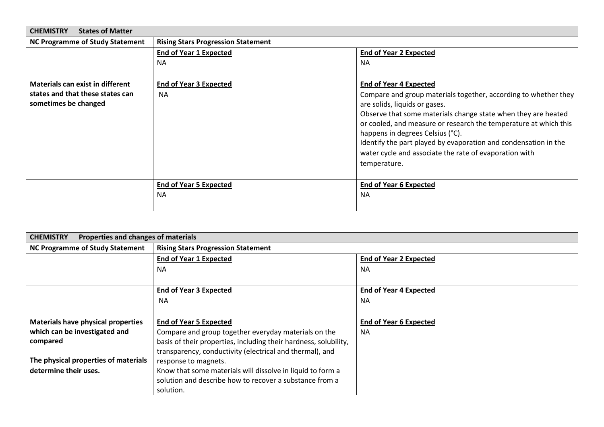| <b>CHEMISTRY</b><br><b>States of Matter</b> |                                           |                                                                  |
|---------------------------------------------|-------------------------------------------|------------------------------------------------------------------|
| <b>NC Programme of Study Statement</b>      | <b>Rising Stars Progression Statement</b> |                                                                  |
|                                             | <b>End of Year 1 Expected</b>             | <b>End of Year 2 Expected</b>                                    |
|                                             | <b>NA</b>                                 | <b>NA</b>                                                        |
|                                             |                                           |                                                                  |
| Materials can exist in different            | <b>End of Year 3 Expected</b>             | <b>End of Year 4 Expected</b>                                    |
| states and that these states can            | <b>NA</b>                                 | Compare and group materials together, according to whether they  |
| sometimes be changed                        |                                           | are solids, liquids or gases.                                    |
|                                             |                                           | Observe that some materials change state when they are heated    |
|                                             |                                           | or cooled, and measure or research the temperature at which this |
|                                             |                                           | happens in degrees Celsius (°C).                                 |
|                                             |                                           | Identify the part played by evaporation and condensation in the  |
|                                             |                                           | water cycle and associate the rate of evaporation with           |
|                                             |                                           | temperature.                                                     |
|                                             |                                           |                                                                  |
|                                             | <b>End of Year 5 Expected</b>             | <b>End of Year 6 Expected</b>                                    |
|                                             | <b>NA</b>                                 | <b>NA</b>                                                        |
|                                             |                                           |                                                                  |

| <b>CHEMISTRY</b><br>Properties and changes of materials |                                                                  |                               |
|---------------------------------------------------------|------------------------------------------------------------------|-------------------------------|
| <b>NC Programme of Study Statement</b>                  | <b>Rising Stars Progression Statement</b>                        |                               |
|                                                         | <b>End of Year 1 Expected</b>                                    | <b>End of Year 2 Expected</b> |
|                                                         | <b>NA</b>                                                        | <b>NA</b>                     |
|                                                         |                                                                  |                               |
|                                                         | <b>End of Year 3 Expected</b>                                    | <b>End of Year 4 Expected</b> |
|                                                         | <b>NA</b>                                                        | <b>NA</b>                     |
|                                                         |                                                                  |                               |
| <b>Materials have physical properties</b>               | <b>End of Year 5 Expected</b>                                    | <b>End of Year 6 Expected</b> |
| which can be investigated and                           | Compare and group together everyday materials on the             | <b>NA</b>                     |
| compared                                                | basis of their properties, including their hardness, solubility, |                               |
|                                                         | transparency, conductivity (electrical and thermal), and         |                               |
| The physical properties of materials                    | response to magnets.                                             |                               |
| determine their uses.                                   | Know that some materials will dissolve in liquid to form a       |                               |
|                                                         | solution and describe how to recover a substance from a          |                               |
|                                                         | solution.                                                        |                               |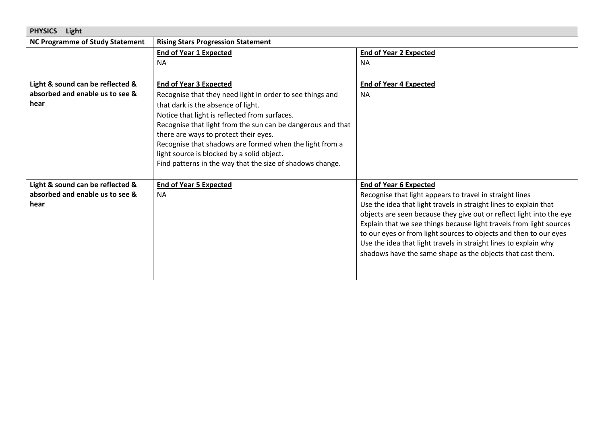| <b>PHYSICS</b><br>Light                                             |                                                             |                                                                                                                                           |
|---------------------------------------------------------------------|-------------------------------------------------------------|-------------------------------------------------------------------------------------------------------------------------------------------|
| <b>NC Programme of Study Statement</b>                              | <b>Rising Stars Progression Statement</b>                   |                                                                                                                                           |
|                                                                     | <b>End of Year 1 Expected</b>                               | <b>End of Year 2 Expected</b>                                                                                                             |
|                                                                     | NA.                                                         | <b>NA</b>                                                                                                                                 |
|                                                                     |                                                             |                                                                                                                                           |
| Light & sound can be reflected &                                    | <b>End of Year 3 Expected</b>                               | <b>End of Year 4 Expected</b>                                                                                                             |
| absorbed and enable us to see &                                     | Recognise that they need light in order to see things and   | <b>NA</b>                                                                                                                                 |
| hear                                                                | that dark is the absence of light.                          |                                                                                                                                           |
|                                                                     | Notice that light is reflected from surfaces.               |                                                                                                                                           |
|                                                                     | Recognise that light from the sun can be dangerous and that |                                                                                                                                           |
|                                                                     | there are ways to protect their eyes.                       |                                                                                                                                           |
|                                                                     | Recognise that shadows are formed when the light from a     |                                                                                                                                           |
|                                                                     | light source is blocked by a solid object.                  |                                                                                                                                           |
|                                                                     | Find patterns in the way that the size of shadows change.   |                                                                                                                                           |
|                                                                     |                                                             |                                                                                                                                           |
| Light & sound can be reflected &<br>absorbed and enable us to see & | <b>End of Year 5 Expected</b>                               | <b>End of Year 6 Expected</b>                                                                                                             |
| hear                                                                | <b>NA</b>                                                   | Recognise that light appears to travel in straight lines                                                                                  |
|                                                                     |                                                             | Use the idea that light travels in straight lines to explain that<br>objects are seen because they give out or reflect light into the eye |
|                                                                     |                                                             | Explain that we see things because light travels from light sources                                                                       |
|                                                                     |                                                             | to our eyes or from light sources to objects and then to our eyes                                                                         |
|                                                                     |                                                             | Use the idea that light travels in straight lines to explain why                                                                          |
|                                                                     |                                                             | shadows have the same shape as the objects that cast them.                                                                                |
|                                                                     |                                                             |                                                                                                                                           |
|                                                                     |                                                             |                                                                                                                                           |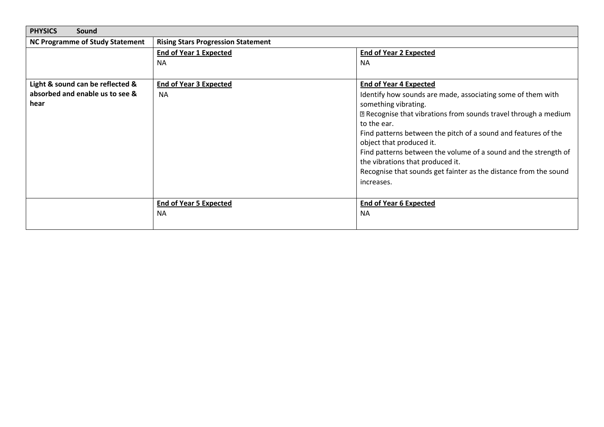| <b>PHYSICS</b><br>Sound                |                                           |                                                                      |
|----------------------------------------|-------------------------------------------|----------------------------------------------------------------------|
| <b>NC Programme of Study Statement</b> | <b>Rising Stars Progression Statement</b> |                                                                      |
|                                        | <b>End of Year 1 Expected</b>             | <b>End of Year 2 Expected</b>                                        |
|                                        | <b>NA</b>                                 | <b>NA</b>                                                            |
|                                        |                                           |                                                                      |
| Light & sound can be reflected &       | <b>End of Year 3 Expected</b>             | <b>End of Year 4 Expected</b>                                        |
| absorbed and enable us to see &        | <b>NA</b>                                 | Identify how sounds are made, associating some of them with          |
| hear                                   |                                           | something vibrating.                                                 |
|                                        |                                           | sqrtR} Recognise that vibrations from sounds travel through a medium |
|                                        |                                           | to the ear.                                                          |
|                                        |                                           | Find patterns between the pitch of a sound and features of the       |
|                                        |                                           | object that produced it.                                             |
|                                        |                                           | Find patterns between the volume of a sound and the strength of      |
|                                        |                                           | the vibrations that produced it.                                     |
|                                        |                                           | Recognise that sounds get fainter as the distance from the sound     |
|                                        |                                           | increases.                                                           |
|                                        |                                           |                                                                      |
|                                        | <b>End of Year 5 Expected</b>             | <b>End of Year 6 Expected</b>                                        |
|                                        | <b>NA</b>                                 | <b>NA</b>                                                            |
|                                        |                                           |                                                                      |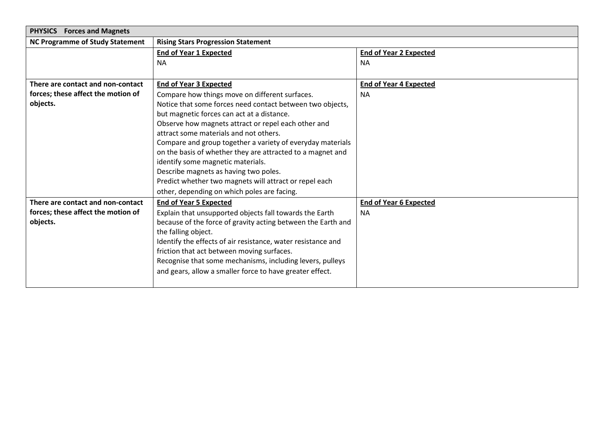| <b>Forces and Magnets</b><br><b>PHYSICS</b> |                                                              |                               |
|---------------------------------------------|--------------------------------------------------------------|-------------------------------|
| <b>NC Programme of Study Statement</b>      | <b>Rising Stars Progression Statement</b>                    |                               |
|                                             | <b>End of Year 1 Expected</b>                                | <b>End of Year 2 Expected</b> |
|                                             | NA.                                                          | <b>NA</b>                     |
|                                             |                                                              |                               |
| There are contact and non-contact           | <b>End of Year 3 Expected</b>                                | <b>End of Year 4 Expected</b> |
| forces; these affect the motion of          | Compare how things move on different surfaces.               | <b>NA</b>                     |
| objects.                                    | Notice that some forces need contact between two objects,    |                               |
|                                             | but magnetic forces can act at a distance.                   |                               |
|                                             | Observe how magnets attract or repel each other and          |                               |
|                                             | attract some materials and not others.                       |                               |
|                                             | Compare and group together a variety of everyday materials   |                               |
|                                             | on the basis of whether they are attracted to a magnet and   |                               |
|                                             | identify some magnetic materials.                            |                               |
|                                             | Describe magnets as having two poles.                        |                               |
|                                             | Predict whether two magnets will attract or repel each       |                               |
|                                             | other, depending on which poles are facing.                  |                               |
| There are contact and non-contact           | <b>End of Year 5 Expected</b>                                | <b>End of Year 6 Expected</b> |
| forces; these affect the motion of          | Explain that unsupported objects fall towards the Earth      | <b>NA</b>                     |
| objects.                                    | because of the force of gravity acting between the Earth and |                               |
|                                             | the falling object.                                          |                               |
|                                             | Identify the effects of air resistance, water resistance and |                               |
|                                             | friction that act between moving surfaces.                   |                               |
|                                             | Recognise that some mechanisms, including levers, pulleys    |                               |
|                                             | and gears, allow a smaller force to have greater effect.     |                               |
|                                             |                                                              |                               |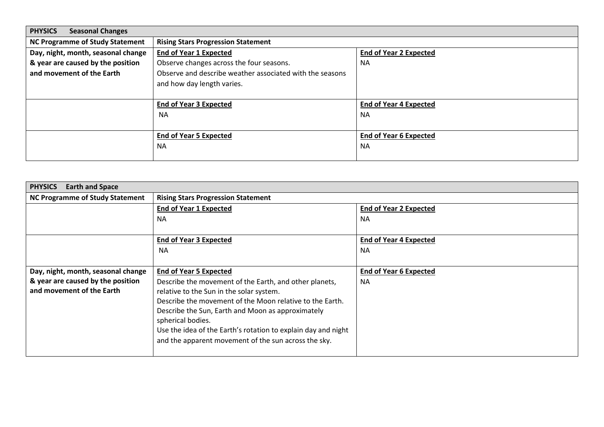| <b>PHYSICS</b><br><b>Seasonal Changes</b> |                                                          |                               |
|-------------------------------------------|----------------------------------------------------------|-------------------------------|
| <b>NC Programme of Study Statement</b>    | <b>Rising Stars Progression Statement</b>                |                               |
| Day, night, month, seasonal change        | <b>End of Year 1 Expected</b>                            | <b>End of Year 2 Expected</b> |
| & year are caused by the position         | Observe changes across the four seasons.                 | <b>NA</b>                     |
| and movement of the Earth                 | Observe and describe weather associated with the seasons |                               |
|                                           | and how day length varies.                               |                               |
|                                           |                                                          |                               |
|                                           | <b>End of Year 3 Expected</b>                            | <b>End of Year 4 Expected</b> |
|                                           | <b>NA</b>                                                | <b>NA</b>                     |
|                                           |                                                          |                               |
|                                           | <b>End of Year 5 Expected</b>                            | <b>End of Year 6 Expected</b> |
|                                           | <b>NA</b>                                                | <b>NA</b>                     |
|                                           |                                                          |                               |

| <b>PHYSICS</b><br><b>Earth and Space</b> |                                                               |                               |
|------------------------------------------|---------------------------------------------------------------|-------------------------------|
| <b>NC Programme of Study Statement</b>   | <b>Rising Stars Progression Statement</b>                     |                               |
|                                          | <b>End of Year 1 Expected</b>                                 | <b>End of Year 2 Expected</b> |
|                                          | <b>NA</b>                                                     | <b>NA</b>                     |
|                                          |                                                               |                               |
|                                          | <b>End of Year 3 Expected</b>                                 | <b>End of Year 4 Expected</b> |
|                                          | <b>NA</b>                                                     | <b>NA</b>                     |
|                                          |                                                               |                               |
| Day, night, month, seasonal change       | <b>End of Year 5 Expected</b>                                 | <b>End of Year 6 Expected</b> |
| & year are caused by the position        | Describe the movement of the Earth, and other planets,        | <b>NA</b>                     |
| and movement of the Earth                | relative to the Sun in the solar system.                      |                               |
|                                          | Describe the movement of the Moon relative to the Earth.      |                               |
|                                          | Describe the Sun, Earth and Moon as approximately             |                               |
|                                          | spherical bodies.                                             |                               |
|                                          | Use the idea of the Earth's rotation to explain day and night |                               |
|                                          | and the apparent movement of the sun across the sky.          |                               |
|                                          |                                                               |                               |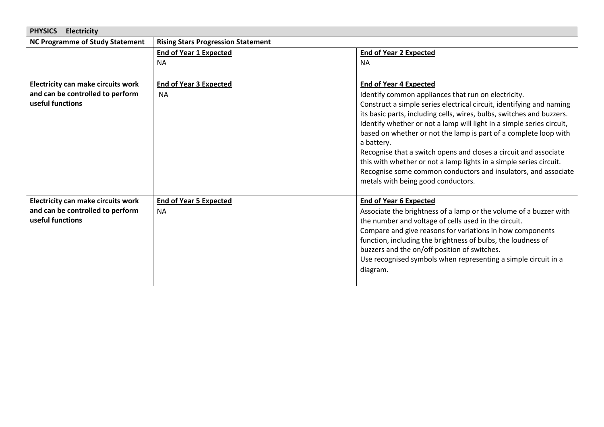| <b>PHYSICS</b><br><b>Electricity</b>      |                                           |                                                                                                                                        |
|-------------------------------------------|-------------------------------------------|----------------------------------------------------------------------------------------------------------------------------------------|
| <b>NC Programme of Study Statement</b>    | <b>Rising Stars Progression Statement</b> |                                                                                                                                        |
|                                           | <b>End of Year 1 Expected</b>             | <b>End of Year 2 Expected</b>                                                                                                          |
|                                           | <b>NA</b>                                 | <b>NA</b>                                                                                                                              |
|                                           |                                           |                                                                                                                                        |
| <b>Electricity can make circuits work</b> | <b>End of Year 3 Expected</b>             | <b>End of Year 4 Expected</b>                                                                                                          |
| and can be controlled to perform          | <b>NA</b>                                 | Identify common appliances that run on electricity.                                                                                    |
| useful functions                          |                                           | Construct a simple series electrical circuit, identifying and naming                                                                   |
|                                           |                                           | its basic parts, including cells, wires, bulbs, switches and buzzers.                                                                  |
|                                           |                                           | Identify whether or not a lamp will light in a simple series circuit,                                                                  |
|                                           |                                           | based on whether or not the lamp is part of a complete loop with                                                                       |
|                                           |                                           | a battery.                                                                                                                             |
|                                           |                                           | Recognise that a switch opens and closes a circuit and associate<br>this with whether or not a lamp lights in a simple series circuit. |
|                                           |                                           | Recognise some common conductors and insulators, and associate                                                                         |
|                                           |                                           | metals with being good conductors.                                                                                                     |
|                                           |                                           |                                                                                                                                        |
| <b>Electricity can make circuits work</b> | <b>End of Year 5 Expected</b>             | <b>End of Year 6 Expected</b>                                                                                                          |
| and can be controlled to perform          | <b>NA</b>                                 | Associate the brightness of a lamp or the volume of a buzzer with                                                                      |
| useful functions                          |                                           | the number and voltage of cells used in the circuit.                                                                                   |
|                                           |                                           | Compare and give reasons for variations in how components                                                                              |
|                                           |                                           | function, including the brightness of bulbs, the loudness of                                                                           |
|                                           |                                           | buzzers and the on/off position of switches.                                                                                           |
|                                           |                                           | Use recognised symbols when representing a simple circuit in a                                                                         |
|                                           |                                           | diagram.                                                                                                                               |
|                                           |                                           |                                                                                                                                        |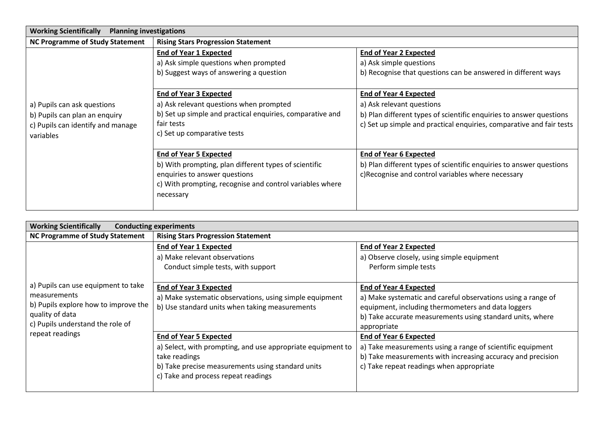| <b>Working Scientifically</b><br><b>Planning investigations</b>                                                |                                                                                                                                                                                                  |                                                                                                                                                                                                           |
|----------------------------------------------------------------------------------------------------------------|--------------------------------------------------------------------------------------------------------------------------------------------------------------------------------------------------|-----------------------------------------------------------------------------------------------------------------------------------------------------------------------------------------------------------|
| <b>NC Programme of Study Statement</b>                                                                         | <b>Rising Stars Progression Statement</b>                                                                                                                                                        |                                                                                                                                                                                                           |
|                                                                                                                | <b>End of Year 1 Expected</b><br>a) Ask simple questions when prompted<br>b) Suggest ways of answering a question                                                                                | <b>End of Year 2 Expected</b><br>a) Ask simple questions<br>b) Recognise that questions can be answered in different ways                                                                                 |
| a) Pupils can ask questions<br>b) Pupils can plan an enquiry<br>c) Pupils can identify and manage<br>variables | <b>End of Year 3 Expected</b><br>a) Ask relevant questions when prompted<br>b) Set up simple and practical enquiries, comparative and<br>fair tests<br>c) Set up comparative tests               | <b>End of Year 4 Expected</b><br>a) Ask relevant questions<br>b) Plan different types of scientific enquiries to answer questions<br>c) Set up simple and practical enquiries, comparative and fair tests |
|                                                                                                                | <b>End of Year 5 Expected</b><br>b) With prompting, plan different types of scientific<br>enquiries to answer questions<br>c) With prompting, recognise and control variables where<br>necessary | <b>End of Year 6 Expected</b><br>b) Plan different types of scientific enquiries to answer questions<br>c)Recognise and control variables where necessary                                                 |

| <b>Working Scientifically</b><br><b>Conducting experiments</b> |                                                             |                                                              |
|----------------------------------------------------------------|-------------------------------------------------------------|--------------------------------------------------------------|
| <b>NC Programme of Study Statement</b>                         | <b>Rising Stars Progression Statement</b>                   |                                                              |
|                                                                | <b>End of Year 1 Expected</b>                               | <b>End of Year 2 Expected</b>                                |
|                                                                | a) Make relevant observations                               | a) Observe closely, using simple equipment                   |
|                                                                | Conduct simple tests, with support                          | Perform simple tests                                         |
|                                                                |                                                             |                                                              |
| a) Pupils can use equipment to take                            | <b>End of Year 3 Expected</b>                               | <b>End of Year 4 Expected</b>                                |
| measurements<br>b) Pupils explore how to improve the           | a) Make systematic observations, using simple equipment     | a) Make systematic and careful observations using a range of |
|                                                                | b) Use standard units when taking measurements              | equipment, including thermometers and data loggers           |
| quality of data                                                |                                                             | b) Take accurate measurements using standard units, where    |
| c) Pupils understand the role of<br>repeat readings            |                                                             | appropriate                                                  |
|                                                                | <b>End of Year 5 Expected</b>                               | <b>End of Year 6 Expected</b>                                |
|                                                                | a) Select, with prompting, and use appropriate equipment to | a) Take measurements using a range of scientific equipment   |
|                                                                | take readings                                               | b) Take measurements with increasing accuracy and precision  |
|                                                                | b) Take precise measurements using standard units           | c) Take repeat readings when appropriate                     |
|                                                                | c) Take and process repeat readings                         |                                                              |
|                                                                |                                                             |                                                              |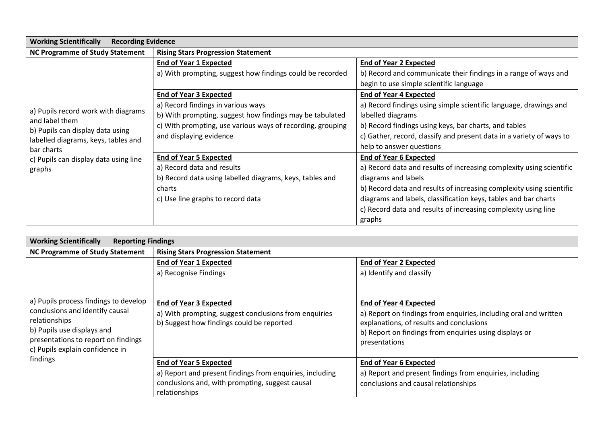| <b>Working Scientifically</b><br><b>Recording Evidence</b> |                                                            |                                                                      |
|------------------------------------------------------------|------------------------------------------------------------|----------------------------------------------------------------------|
| <b>NC Programme of Study Statement</b>                     | <b>Rising Stars Progression Statement</b>                  |                                                                      |
|                                                            | <b>End of Year 1 Expected</b>                              | <b>End of Year 2 Expected</b>                                        |
|                                                            | a) With prompting, suggest how findings could be recorded  | b) Record and communicate their findings in a range of ways and      |
|                                                            |                                                            | begin to use simple scientific language                              |
|                                                            | <b>End of Year 3 Expected</b>                              | <b>End of Year 4 Expected</b>                                        |
|                                                            | a) Record findings in various ways                         | a) Record findings using simple scientific language, drawings and    |
| a) Pupils record work with diagrams<br>and label them      | b) With prompting, suggest how findings may be tabulated   | labelled diagrams                                                    |
| b) Pupils can display data using                           | c) With prompting, use various ways of recording, grouping | b) Record findings using keys, bar charts, and tables                |
| labelled diagrams, keys, tables and                        | and displaying evidence                                    | c) Gather, record, classify and present data in a variety of ways to |
| bar charts                                                 |                                                            | help to answer questions                                             |
| c) Pupils can display data using line                      | <b>End of Year 5 Expected</b>                              | <b>End of Year 6 Expected</b>                                        |
| graphs                                                     | a) Record data and results                                 | a) Record data and results of increasing complexity using scientific |
|                                                            | b) Record data using labelled diagrams, keys, tables and   | diagrams and labels                                                  |
|                                                            | charts                                                     | b) Record data and results of increasing complexity using scientific |
|                                                            | c) Use line graphs to record data                          | diagrams and labels, classification keys, tables and bar charts      |
|                                                            |                                                            | c) Record data and results of increasing complexity using line       |
|                                                            |                                                            | graphs                                                               |

| <b>Working Scientifically</b><br><b>Reporting Findings</b>                                                                                                                                                    |                                                                                                                                                               |                                                                                                                                                                                                                          |
|---------------------------------------------------------------------------------------------------------------------------------------------------------------------------------------------------------------|---------------------------------------------------------------------------------------------------------------------------------------------------------------|--------------------------------------------------------------------------------------------------------------------------------------------------------------------------------------------------------------------------|
| <b>NC Programme of Study Statement</b>                                                                                                                                                                        | <b>Rising Stars Progression Statement</b>                                                                                                                     |                                                                                                                                                                                                                          |
|                                                                                                                                                                                                               | <b>End of Year 1 Expected</b><br>a) Recognise Findings                                                                                                        | <b>End of Year 2 Expected</b><br>a) Identify and classify                                                                                                                                                                |
| a) Pupils process findings to develop<br>conclusions and identify causal<br>relationships<br>b) Pupils use displays and<br>presentations to report on findings<br>c) Pupils explain confidence in<br>findings | <b>End of Year 3 Expected</b><br>a) With prompting, suggest conclusions from enquiries<br>b) Suggest how findings could be reported                           | <b>End of Year 4 Expected</b><br>a) Report on findings from enquiries, including oral and written<br>explanations, of results and conclusions<br>b) Report on findings from enquiries using displays or<br>presentations |
|                                                                                                                                                                                                               | <b>End of Year 5 Expected</b><br>a) Report and present findings from enquiries, including<br>conclusions and, with prompting, suggest causal<br>relationships | <b>End of Year 6 Expected</b><br>a) Report and present findings from enquiries, including<br>conclusions and causal relationships                                                                                        |